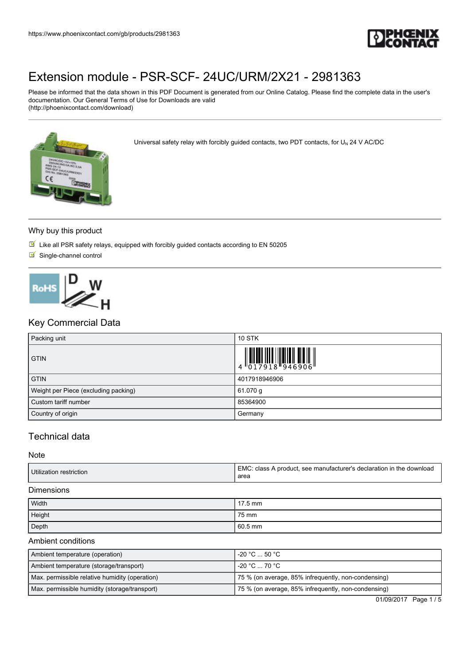

Please be informed that the data shown in this PDF Document is generated from our Online Catalog. Please find the complete data in the user's documentation. Our General Terms of Use for Downloads are valid (http://phoenixcontact.com/download)



Universal safety relay with forcibly guided contacts, two PDT contacts, for  $U_N$  24 V AC/DC

#### Why buy this product

- $\overline{\mathbb{M}}$  Like all PSR safety relays, equipped with forcibly guided contacts according to EN 50205
- $\blacksquare$  Single-channel control



# Key Commercial Data

| Packing unit                         | <b>10 STK</b>                                                                                                                                                                                                                                                                                                            |
|--------------------------------------|--------------------------------------------------------------------------------------------------------------------------------------------------------------------------------------------------------------------------------------------------------------------------------------------------------------------------|
| <b>GTIN</b>                          | $\begin{array}{c} 1 & 0 & 0 & 0 & 0 \\ 0 & 0 & 1 & 7 & 9 & 1 & 8 \\ 0 & 0 & 1 & 7 & 9 & 1 & 8 \\ 0 & 0 & 0 & 0 & 0 & 0 & 0 \\ 0 & 0 & 0 & 0 & 0 & 0 & 0 \\ 0 & 0 & 0 & 0 & 0 & 0 & 0 \\ 0 & 0 & 0 & 0 & 0 & 0 & 0 \\ 0 & 0 & 0 & 0 & 0 & 0 & 0 & 0 \\ 0 & 0 & 0 & 0 & 0 & 0 & 0 & 0 \\ 0 & 0 & 0 & 0 & 0 & 0 & 0 & 0 \\$ |
| <b>GTIN</b>                          | 4017918946906                                                                                                                                                                                                                                                                                                            |
| Weight per Piece (excluding packing) | 61.070 g                                                                                                                                                                                                                                                                                                                 |
| Custom tariff number                 | 85364900                                                                                                                                                                                                                                                                                                                 |
| Country of origin                    | Germany                                                                                                                                                                                                                                                                                                                  |

# Technical data

#### Note

| Utilization restriction | EMC.<br>C: class A product, see manufacturer's declaration in the download<br>area |
|-------------------------|------------------------------------------------------------------------------------|
|                         |                                                                                    |

## Dimensions

| Width  | 17.5 mm |
|--------|---------|
| Height | 75 mm   |
| Depth  | 60.5 mm |

#### Ambient conditions

| Ambient temperature (operation)                | -20 °C  50 °C                                       |
|------------------------------------------------|-----------------------------------------------------|
| Ambient temperature (storage/transport)        | $-20\,^{\circ}\text{C}$ 70 $^{\circ}\text{C}$       |
| Max. permissible relative humidity (operation) | 75 % (on average, 85% infrequently, non-condensing) |
| Max. permissible humidity (storage/transport)  | 75 % (on average, 85% infrequently, non-condensing) |

01/09/2017 Page 1 / 5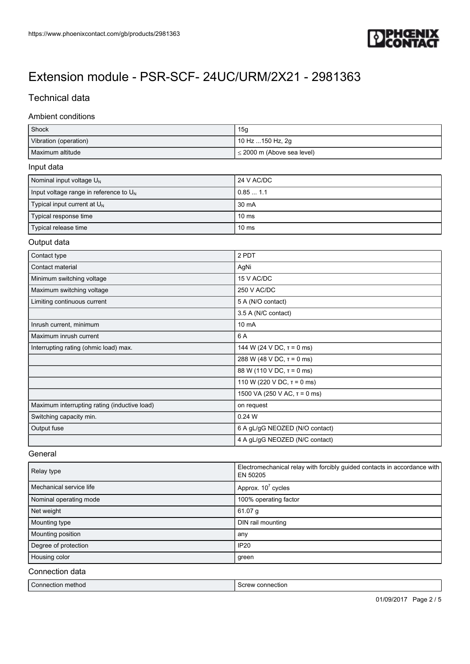

# Technical data

## Ambient conditions

| Shock                 | 15g                             |
|-----------------------|---------------------------------|
| Vibration (operation) | 10 Hz 150 Hz, 2g                |
| Maximum altitude      | $\leq$ 2000 m (Above sea level) |

#### Input data

| Nominal input voltage U <sub>N</sub>      | 24 V AC/DC       |
|-------------------------------------------|------------------|
| Input voltage range in reference to $U_N$ | 0.851.1          |
| Typical input current at $U_{N}$          | 30 mA            |
| Typical response time                     | 10 <sub>ms</sub> |
| Typical release time                      | 10 <sub>ms</sub> |

#### Output data

| Contact type                                 | 2 PDT                             |
|----------------------------------------------|-----------------------------------|
| Contact material                             | AgNi                              |
| Minimum switching voltage                    | 15 V AC/DC                        |
| Maximum switching voltage                    | 250 V AC/DC                       |
| Limiting continuous current                  | 5 A (N/O contact)                 |
|                                              | 3.5 A (N/C contact)               |
| Inrush current, minimum                      | 10 mA                             |
| Maximum inrush current                       | 6 A                               |
| Interrupting rating (ohmic load) max.        | 144 W (24 V DC, $\tau$ = 0 ms)    |
|                                              | 288 W (48 V DC, $\tau$ = 0 ms)    |
|                                              | 88 W (110 V DC, $\tau$ = 0 ms)    |
|                                              | 110 W (220 V DC, $\tau$ = 0 ms)   |
|                                              | 1500 VA (250 V AC, $\tau$ = 0 ms) |
| Maximum interrupting rating (inductive load) | on request                        |
| Switching capacity min.                      | 0.24 W                            |
| Output fuse                                  | 6 A gL/gG NEOZED (N/O contact)    |
|                                              | 4 A gL/gG NEOZED (N/C contact)    |

#### **General**

| Relay type              | Electromechanical relay with forcibly guided contacts in accordance with<br>EN 50205 |
|-------------------------|--------------------------------------------------------------------------------------|
| Mechanical service life | Approx. $10^7$ cycles                                                                |
| Nominal operating mode  | 100% operating factor                                                                |
| Net weight              | 61.07 g                                                                              |
| Mounting type           | DIN rail mounting                                                                    |
| Mounting position       | any                                                                                  |
| Degree of protection    | <b>IP20</b>                                                                          |
| Housing color           | green                                                                                |

## Connection data

| method      | connection |
|-------------|------------|
| Connection. | Crow       |
|             |            |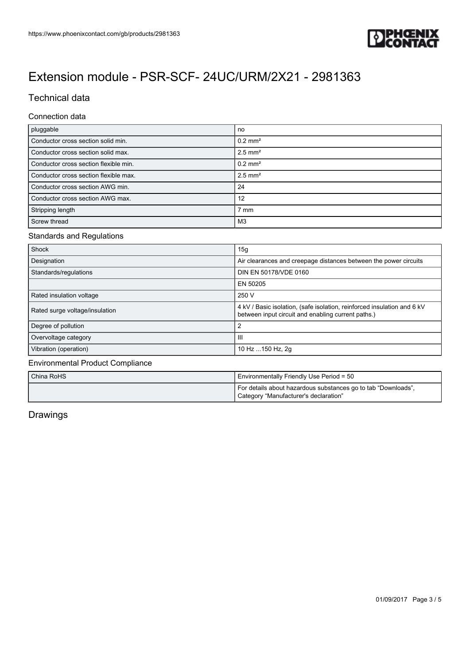

# Technical data

#### Connection data

| pluggable                             | no                    |
|---------------------------------------|-----------------------|
| Conductor cross section solid min.    | $0.2$ mm <sup>2</sup> |
| Conductor cross section solid max.    | $2.5$ mm <sup>2</sup> |
| Conductor cross section flexible min. | $0.2$ mm <sup>2</sup> |
| Conductor cross section flexible max. | $2.5$ mm <sup>2</sup> |
| Conductor cross section AWG min.      | 24                    |
| Conductor cross section AWG max.      | 12                    |
| Stripping length                      | $7 \text{ mm}$        |
| Screw thread                          | M3                    |

# Standards and Regulations

| Shock                          | 15g                                                                                                                           |
|--------------------------------|-------------------------------------------------------------------------------------------------------------------------------|
| Designation                    | Air clearances and creepage distances between the power circuits                                                              |
| Standards/regulations          | DIN EN 50178/VDE 0160                                                                                                         |
|                                | EN 50205                                                                                                                      |
| Rated insulation voltage       | 250 V                                                                                                                         |
| Rated surge voltage/insulation | 4 kV / Basic isolation, (safe isolation, reinforced insulation and 6 kV<br>between input circuit and enabling current paths.) |
| Degree of pollution            | 2                                                                                                                             |
| Overvoltage category           | -111                                                                                                                          |
| Vibration (operation)          | 10 Hz  150 Hz, 2g                                                                                                             |

## Environmental Product Compliance

| l China RoHS l | Environmentally Friendly Use Period = 50                                                               |
|----------------|--------------------------------------------------------------------------------------------------------|
|                | For details about hazardous substances go to tab "Downloads",<br>Category "Manufacturer's declaration" |

# Drawings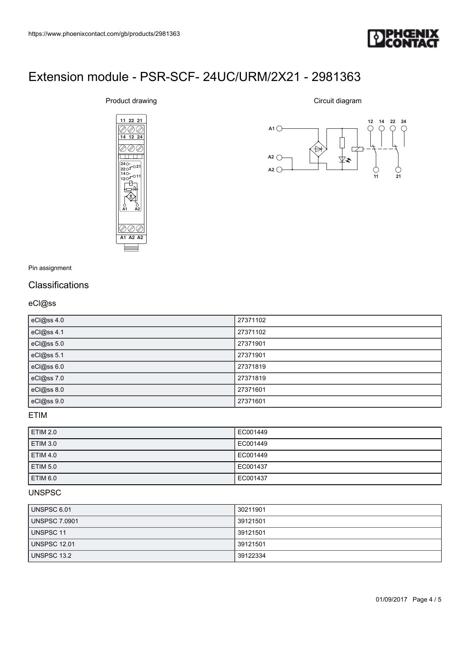

# [Extension module - PSR-SCF- 24UC/URM/2X21 - 2981363](https://www.phoenixcontact.com/gb/products/2981363) (gb/products/2981363)<br>**11 22 21 June 1: FR-SCF - 24 UC/URM/2X21 - 2981363**<br>Juct drawing Circuit diagram (gb/products/2981363)<br>**Ie - PSR-SCF- 24UC/URM/2X21 - 2981363**<br>
<br>
luct drawing circuit diagram<br>
<u>11 22 21</u><br>
<br> **14 12 24**



Product drawing

Circuit diagram



Pin assignment

# **Classifications**

## eCl@ss

| eCl@ss 4.0 | 27371102 |
|------------|----------|
| eCl@ss 4.1 | 27371102 |
| eCl@ss 5.0 | 27371901 |
| eCl@ss 5.1 | 27371901 |
| eCl@ss 6.0 | 27371819 |
| eCl@ss 7.0 | 27371819 |
| eCl@ss 8.0 | 27371601 |
| eCl@ss 9.0 | 27371601 |

#### ETIM

| <b>ETIM 2.0</b> | EC001449 |
|-----------------|----------|
| <b>ETIM 3.0</b> | EC001449 |
| <b>ETIM 4.0</b> | EC001449 |
| <b>ETIM 5.0</b> | EC001437 |
| <b>ETIM 6.0</b> | EC001437 |

#### UNSPSC

| UNSPSC 6.01          | 30211901 |
|----------------------|----------|
| <b>UNSPSC 7.0901</b> | 39121501 |
| <b>UNSPSC 11</b>     | 39121501 |
| <b>UNSPSC 12.01</b>  | 39121501 |
| UNSPSC 13.2          | 39122334 |